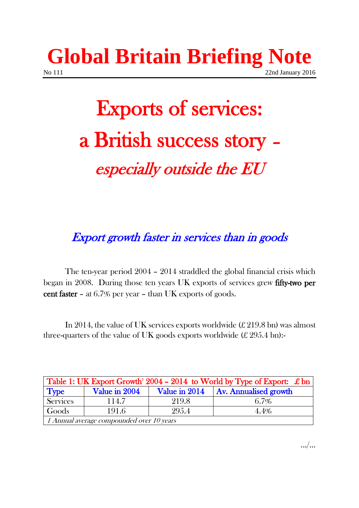## **Global Britain Briefing Note** No 111 22nd January 2016

# Exports of services: a British success story – especially outside the EU

Export growth faster in services than in goods

The ten-year period 2004 – 2014 straddled the global financial crisis which began in 2008. During those ten years UK exports of services grew fifty-two per cent faster – at 6.7% per year – than UK exports of goods.

In 2014, the value of UK services exports worldwide  $(E 219.8 \text{ bn})$  was almost three-quarters of the value of UK goods exports worldwide  $(E 295.4 \text{ bn})$ :

| Table 1: UK Export Growth <sup>1</sup> 2004 - 2014 to World by Type of Export: £ bn |               |       |                                       |  |
|-------------------------------------------------------------------------------------|---------------|-------|---------------------------------------|--|
| <b>Type</b>                                                                         | Value in 2004 |       | Value in 2014   Av. Annualised growth |  |
| Services                                                                            | 114.7         | 219.8 | 6.7%                                  |  |
| Goods                                                                               | 191.6         | 295.4 | 4.4%                                  |  |
| 1 Annual average compounded over 10 years                                           |               |       |                                       |  |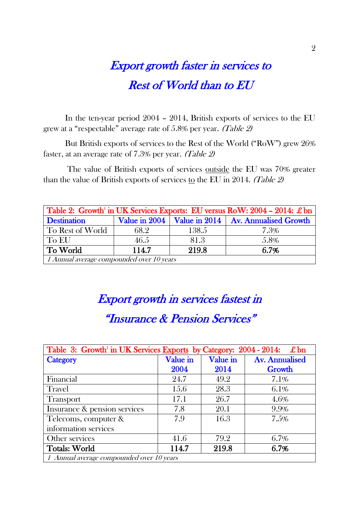## Export growth faster in services to Rest of World than to EU

In the ten-year period 2004 – 2014, British exports of services to the EU grew at a "respectable" average rate of 5.8% per year. (Table 2)

But British exports of services to the Rest of the World ("RoW") grew 26% faster, at an average rate of 7.3% per year. (Table 2)

The value of British exports of services outside the EU was 70% greater than the value of British exports of services to the EU in 2014. (Table 2)

| Table 2: Growth <sup>1</sup> in UK Services Exports: EU versus RoW: $2004 - 2014$ : £ bn |       |       |                                                       |  |  |
|------------------------------------------------------------------------------------------|-------|-------|-------------------------------------------------------|--|--|
| <b>Destination</b>                                                                       |       |       | Value in 2004   Value in 2014   Av. Annualised Growth |  |  |
| To Rest of World                                                                         | 68.2  | 138.5 | 7.3%                                                  |  |  |
| To EU                                                                                    | 46.5  | 81.3  | 5.8%                                                  |  |  |
| To World                                                                                 | 114.7 | 219.8 | 6.7%                                                  |  |  |
| 1 Annual average compounded over 10 years                                                |       |       |                                                       |  |  |

## Export growth in services fastest in "Insurance & Pension Services"

| Table 3: Growth' in UK Services Exports by Category: 2004 - 2014: £ bn |          |                 |                       |
|------------------------------------------------------------------------|----------|-----------------|-----------------------|
| Category                                                               | Value in | <b>Value in</b> | <b>Av. Annualised</b> |
|                                                                        | 2004     | 2014            | <b>Growth</b>         |
| Financial                                                              | 24.7     | 49.2            | 7.1%                  |
| Travel                                                                 | 15.6     | 28.3            | $6.1\%$               |
| <b>Transport</b>                                                       | 17.1     | 26.7            | 4.6%                  |
| Insurance & pension services                                           | 7.8      | 20.1            | 9.9%                  |
| Telecoms, computer &                                                   | 7.9      | 16.3            | 7.5%                  |
| information services                                                   |          |                 |                       |
| Other services                                                         | 41.6     | 79.2            | 6.7%                  |
| <b>Totals: World</b>                                                   | 114.7    | 219.8           | 6.7%                  |
| 1 Annual average compounded over 10 years                              |          |                 |                       |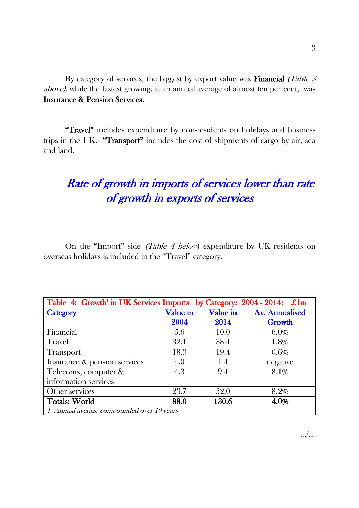By category of services, the biggest by export value was **Financial** (Table  $\beta$ ) above), while the fastest growing, at an annual average of almost ten per cent, was Insurance & Pension Services.

"Travel" includes expenditure by non-residents on holidays and business trips in the UK. "Transport" includes the cost of shipments of cargo by air, sea and land.

### Rate of growth in imports of services lower than rate of growth in exports of services

On the "Import" side (Table 4 below) expenditure by UK residents on overseas holidays is included in the "Travel" category.

| Table 4: Growth' in UK Services Imports<br>by Category: $2004 - 2014$ : £ bn |          |          |                       |  |
|------------------------------------------------------------------------------|----------|----------|-----------------------|--|
| Category                                                                     | Value in | Value in | <b>Av. Annualised</b> |  |
|                                                                              | 2004     | 2014     | Growth                |  |
| Financial                                                                    | 5.6      | 10.0     | $6.0\%$               |  |
| Travel                                                                       | 32.1     | 38.4     | 1.8%                  |  |
| <b>Transport</b>                                                             | 18.3     | 19.4     | $0.6\%$               |  |
| Insurance & pension services                                                 | 4.0      | 1.4      | negative              |  |
| Telecoms, computer &                                                         | 4.3      | 9.4      | 8.1%                  |  |
| information services                                                         |          |          |                       |  |
| Other services                                                               | 23.7     | 52.0     | 8.2%                  |  |
| <b>Totals: World</b>                                                         | 88.0     | 130.6    | 4.0%                  |  |
| 1 Annual average compounded over 10 years                                    |          |          |                       |  |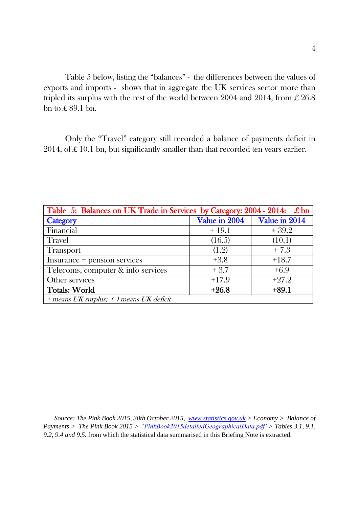Table 5 below, listing the "balances" - the differences between the values of exports and imports - shows that in aggregate the UK services sector more than tripled its surplus with the rest of the world between 2004 and 2014, from  $\pounds 26.8$ bn to £ 89.1 bn.

Only the "Travel" category still recorded a balance of payments deficit in 2014, of  $\pounds$  10.1 bn, but significantly smaller than that recorded ten years earlier.

| Table 5: Balances on UK Trade in Services by Category: 2004 - 2014: £ bn |               |               |  |
|--------------------------------------------------------------------------|---------------|---------------|--|
| Category                                                                 | Value in 2004 | Value in 2014 |  |
| Financial                                                                | $+19.1$       | $+39.2$       |  |
| <b>Travel</b>                                                            | (16.5)        | (10.1)        |  |
| <b>Transport</b>                                                         | (1.2)         | $+7.3$        |  |
| Insurance + pension services                                             | $+3.8$        | $+18.7$       |  |
| Telecoms, computer & info services                                       | $+3.7$        | $+6.9$        |  |
| Other services                                                           | $+17.9$       | $+27.2$       |  |
| <b>Totals: World</b>                                                     | $+26.8$       | $+89.1$       |  |
| + means UK surplus; () means UK deficit                                  |               |               |  |

*Source: The Pink Book 2015, 30th October 2015, [www.statistics.gov.uk](http://www.statistics.gov.uk/) > Economy > Balance of Payments > The Pink Book 2015 > "PinkBook2015detailedGeographicalData.pdf"> Tables 3.1, 9.1, 9.2, 9.4 and 9.5.* from which the statistical data summarised in this Briefing Note is extracted.